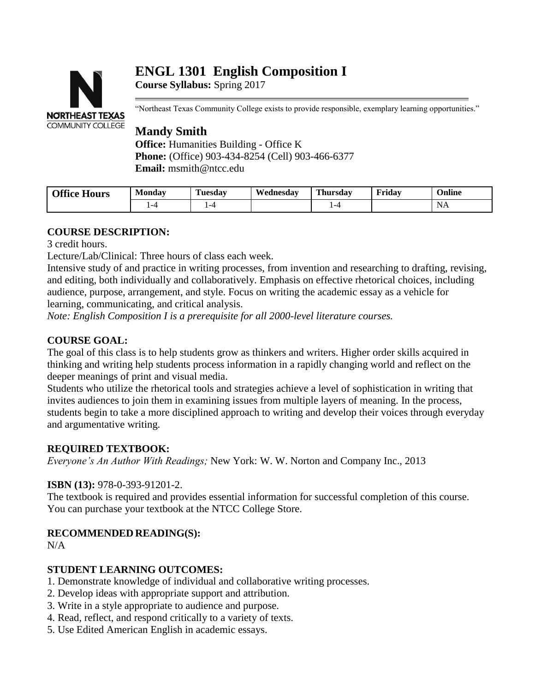# **ENGL 1301 English Composition I**



**Course Syllabus:** Spring 2017

"Northeast Texas Community College exists to provide responsible, exemplary learning opportunities."

# **Mandy Smith**

**Office:** Humanities Building - Office K **Phone:** (Office) 903-434-8254 (Cell) 903-466-6377 **Email:** msmith@ntcc.edu

| <b>Office Hours</b> | Mondav | $\sim$<br>Tuesdav | Wednesdav | <b>Thursday</b> | Fridav | Online |
|---------------------|--------|-------------------|-----------|-----------------|--------|--------|
|                     |        | -4                |           |                 |        | 11T    |

# **COURSE DESCRIPTION:**

3 credit hours.

Lecture/Lab/Clinical: Three hours of class each week.

Intensive study of and practice in writing processes, from invention and researching to drafting, revising, and editing, both individually and collaboratively. Emphasis on effective rhetorical choices, including audience, purpose, arrangement, and style. Focus on writing the academic essay as a vehicle for learning, communicating, and critical analysis.

*Note: English Composition I is a prerequisite for all 2000-level literature courses.*

# **COURSE GOAL:**

The goal of this class is to help students grow as thinkers and writers. Higher order skills acquired in thinking and writing help students process information in a rapidly changing world and reflect on the deeper meanings of print and visual media.

Students who utilize the rhetorical tools and strategies achieve a level of sophistication in writing that invites audiences to join them in examining issues from multiple layers of meaning. In the process, students begin to take a more disciplined approach to writing and develop their voices through everyday and argumentative writing.

# **REQUIRED TEXTBOOK:**

*Everyone's An Author With Readings;* New York: W. W. Norton and Company Inc., 2013

# **ISBN (13):** 978-0-393-91201-2.

The textbook is required and provides essential information for successful completion of this course. You can purchase your textbook at the NTCC College Store.

# **RECOMMENDED READING(S):**

 $N/A$ 

# **STUDENT LEARNING OUTCOMES:**

- 1. Demonstrate knowledge of individual and collaborative writing processes.
- 2. Develop ideas with appropriate support and attribution.
- 3. Write in a style appropriate to audience and purpose.
- 4. Read, reflect, and respond critically to a variety of texts.
- 5. Use Edited American English in academic essays.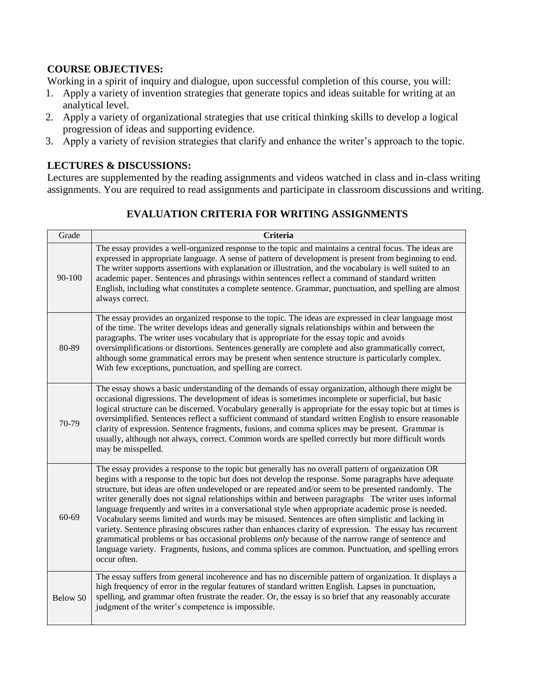# **COURSE OBJECTIVES:**

Working in a spirit of inquiry and dialogue, upon successful completion of this course, you will:

- 1. Apply a variety of invention strategies that generate topics and ideas suitable for writing at an analytical level.
- 2. Apply a variety of organizational strategies that use critical thinking skills to develop a logical progression of ideas and supporting evidence.
- 3. Apply a variety of revision strategies that clarify and enhance the writer's approach to the topic.

# **LECTURES & DISCUSSIONS:**

Lectures are supplemented by the reading assignments and videos watched in class and in-class writing assignments. You are required to read assignments and participate in classroom discussions and writing.

# **EVALUATION CRITERIA FOR WRITING ASSIGNMENTS**

| Grade    | <b>Criteria</b>                                                                                                                                                                                                                                                                                                                                                                                                                                                                                                                                                                                                                                                                                                                                                                                                                                                                                                                                                               |
|----------|-------------------------------------------------------------------------------------------------------------------------------------------------------------------------------------------------------------------------------------------------------------------------------------------------------------------------------------------------------------------------------------------------------------------------------------------------------------------------------------------------------------------------------------------------------------------------------------------------------------------------------------------------------------------------------------------------------------------------------------------------------------------------------------------------------------------------------------------------------------------------------------------------------------------------------------------------------------------------------|
| 90-100   | The essay provides a well-organized response to the topic and maintains a central focus. The ideas are<br>expressed in appropriate language. A sense of pattern of development is present from beginning to end.<br>The writer supports assertions with explanation or illustration, and the vocabulary is well suited to an<br>academic paper. Sentences and phrasings within sentences reflect a command of standard written<br>English, including what constitutes a complete sentence. Grammar, punctuation, and spelling are almost<br>always correct.                                                                                                                                                                                                                                                                                                                                                                                                                   |
| 80-89    | The essay provides an organized response to the topic. The ideas are expressed in clear language most<br>of the time. The writer develops ideas and generally signals relationships within and between the<br>paragraphs. The writer uses vocabulary that is appropriate for the essay topic and avoids<br>oversimplifications or distortions. Sentences generally are complete and also grammatically correct,<br>although some grammatical errors may be present when sentence structure is particularly complex.<br>With few exceptions, punctuation, and spelling are correct.                                                                                                                                                                                                                                                                                                                                                                                            |
| 70-79    | The essay shows a basic understanding of the demands of essay organization, although there might be<br>occasional digressions. The development of ideas is sometimes incomplete or superficial, but basic<br>logical structure can be discerned. Vocabulary generally is appropriate for the essay topic but at times is<br>oversimplified. Sentences reflect a sufficient command of standard written English to ensure reasonable<br>clarity of expression. Sentence fragments, fusions, and comma splices may be present. Grammar is<br>usually, although not always, correct. Common words are spelled correctly but more difficult words<br>may be misspelled.                                                                                                                                                                                                                                                                                                           |
| 60-69    | The essay provides a response to the topic but generally has no overall pattern of organization OR<br>begins with a response to the topic but does not develop the response. Some paragraphs have adequate<br>structure, but ideas are often undeveloped or are repeated and/or seem to be presented randomly. The<br>writer generally does not signal relationships within and between paragraphs The writer uses informal<br>language frequently and writes in a conversational style when appropriate academic prose is needed.<br>Vocabulary seems limited and words may be misused. Sentences are often simplistic and lacking in<br>variety. Sentence phrasing obscures rather than enhances clarity of expression. The essay has recurrent<br>grammatical problems or has occasional problems only because of the narrow range of sentence and<br>language variety. Fragments, fusions, and comma splices are common. Punctuation, and spelling errors<br>occur often. |
| Below 50 | The essay suffers from general incoherence and has no discernible pattern of organization. It displays a<br>high frequency of error in the regular features of standard written English. Lapses in punctuation,<br>spelling, and grammar often frustrate the reader. Or, the essay is so brief that any reasonably accurate<br>judgment of the writer's competence is impossible.                                                                                                                                                                                                                                                                                                                                                                                                                                                                                                                                                                                             |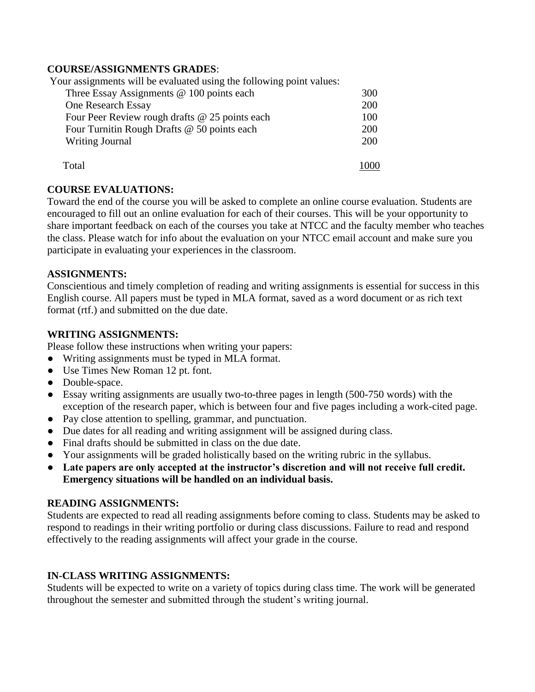# **COURSE/ASSIGNMENTS GRADES**:

Your assignments will be evaluated using the following point values:

| Three Essay Assignments $@$ 100 points each    | 300 |
|------------------------------------------------|-----|
| One Research Essay                             | 200 |
| Four Peer Review rough drafts @ 25 points each | 100 |
| Four Turnitin Rough Drafts @ 50 points each    | 200 |
| <b>Writing Journal</b>                         | 200 |
| Total                                          |     |

#### **COURSE EVALUATIONS:**

Toward the end of the course you will be asked to complete an online course evaluation. Students are encouraged to fill out an online evaluation for each of their courses. This will be your opportunity to share important feedback on each of the courses you take at NTCC and the faculty member who teaches the class. Please watch for info about the evaluation on your NTCC email account and make sure you participate in evaluating your experiences in the classroom.

#### **ASSIGNMENTS:**

Conscientious and timely completion of reading and writing assignments is essential for success in this English course. All papers must be typed in MLA format, saved as a word document or as rich text format (rtf.) and submitted on the due date.

#### **WRITING ASSIGNMENTS:**

Please follow these instructions when writing your papers:

- Writing assignments must be typed in MLA format.
- Use Times New Roman 12 pt. font.
- Double-space.
- Essay writing assignments are usually two-to-three pages in length (500-750 words) with the exception of the research paper, which is between four and five pages including a work-cited page.
- Pay close attention to spelling, grammar, and punctuation.
- Due dates for all reading and writing assignment will be assigned during class.
- Final drafts should be submitted in class on the due date.
- Your assignments will be graded holistically based on the writing rubric in the syllabus.
- **Late papers are only accepted at the instructor's discretion and will not receive full credit. Emergency situations will be handled on an individual basis.**

#### **READING ASSIGNMENTS:**

Students are expected to read all reading assignments before coming to class. Students may be asked to respond to readings in their writing portfolio or during class discussions. Failure to read and respond effectively to the reading assignments will affect your grade in the course.

# **IN-CLASS WRITING ASSIGNMENTS:**

Students will be expected to write on a variety of topics during class time. The work will be generated throughout the semester and submitted through the student's writing journal.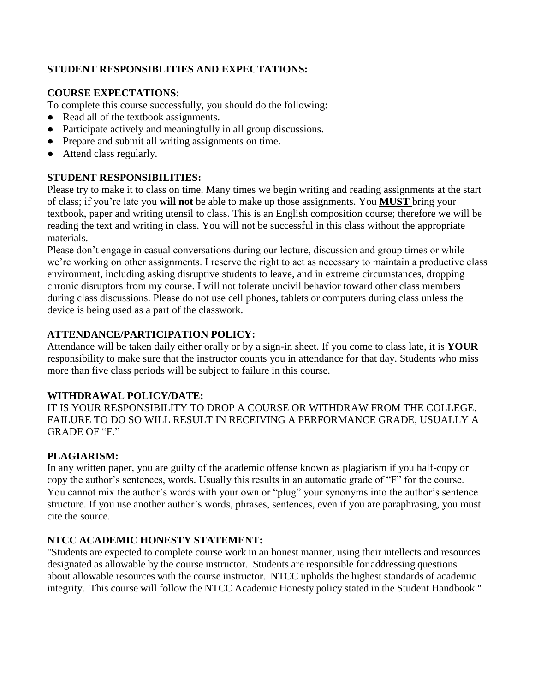# **STUDENT RESPONSIBLITIES AND EXPECTATIONS:**

# **COURSE EXPECTATIONS**:

To complete this course successfully, you should do the following:

- Read all of the textbook assignments.
- Participate actively and meaningfully in all group discussions.
- Prepare and submit all writing assignments on time.
- Attend class regularly.

# **STUDENT RESPONSIBILITIES:**

Please try to make it to class on time. Many times we begin writing and reading assignments at the start of class; if you're late you **will not** be able to make up those assignments. You **MUST** bring your textbook, paper and writing utensil to class. This is an English composition course; therefore we will be reading the text and writing in class. You will not be successful in this class without the appropriate materials.

Please don't engage in casual conversations during our lecture, discussion and group times or while we're working on other assignments. I reserve the right to act as necessary to maintain a productive class environment, including asking disruptive students to leave, and in extreme circumstances, dropping chronic disruptors from my course. I will not tolerate uncivil behavior toward other class members during class discussions. Please do not use cell phones, tablets or computers during class unless the device is being used as a part of the classwork.

# **ATTENDANCE/PARTICIPATION POLICY:**

Attendance will be taken daily either orally or by a sign-in sheet. If you come to class late, it is **YOUR**  responsibility to make sure that the instructor counts you in attendance for that day. Students who miss more than five class periods will be subject to failure in this course.

# **WITHDRAWAL POLICY/DATE:**

IT IS YOUR RESPONSIBILITY TO DROP A COURSE OR WITHDRAW FROM THE COLLEGE. FAILURE TO DO SO WILL RESULT IN RECEIVING A PERFORMANCE GRADE, USUALLY A GRADE OF "F"

# **PLAGIARISM:**

In any written paper, you are guilty of the academic offense known as plagiarism if you half-copy or copy the author's sentences, words. Usually this results in an automatic grade of "F" for the course. You cannot mix the author's words with your own or "plug" your synonyms into the author's sentence structure. If you use another author's words, phrases, sentences, even if you are paraphrasing, you must cite the source.

# **NTCC ACADEMIC HONESTY STATEMENT:**

"Students are expected to complete course work in an honest manner, using their intellects and resources designated as allowable by the course instructor. Students are responsible for addressing questions about allowable resources with the course instructor. NTCC upholds the highest standards of academic integrity. This course will follow the NTCC Academic Honesty policy stated in the Student Handbook."